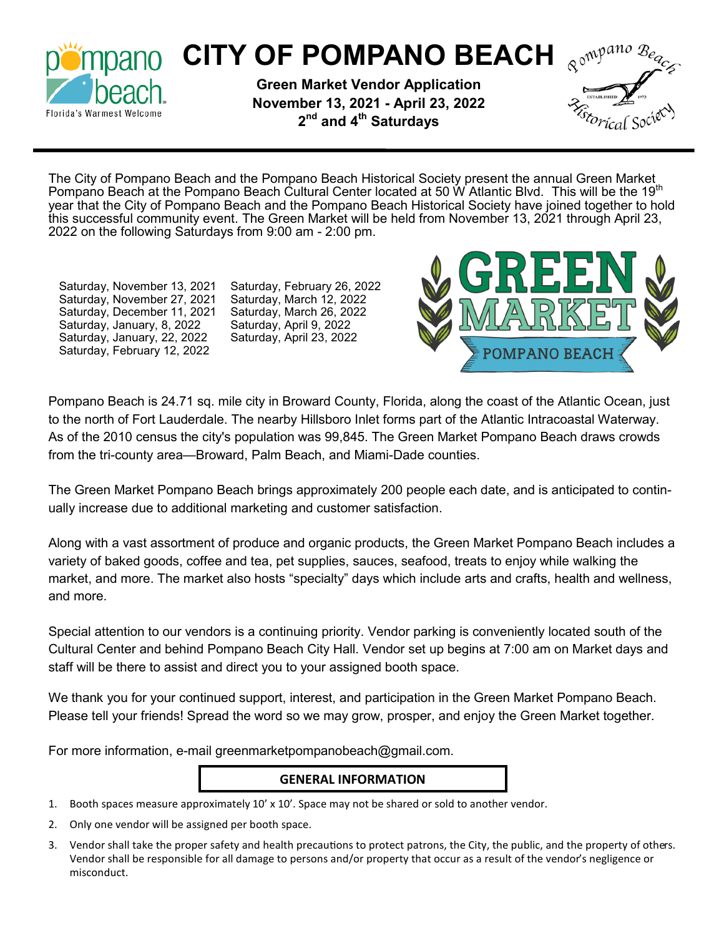

# **CITY OF POMPANO BEACH Required BEACH**

**Green Market Vendor Application November 13, 2021 - April 23, 2022 2 nd and 4th Saturdays**



The City of Pompano Beach and the Pompano Beach Historical Society present the annual Green Market Pompano Beach at the Pompano Beach Cultural Center located at 50 W Atlantic Blvd. This will be the 19th year that the City of Pompano Beach and the Pompano Beach Historical Society have joined together to hold this successful community event. The Green Market will be held from November 13, 2021 through April 23, 2022 on the following Saturdays from 9:00 am - 2:00 pm.

Saturday, November 13, 2021 Saturday, November 27, 2021 Saturday, December 11, 2021 Saturday, January, 8, 2022 Saturday, January, 22, 2022 Saturday, February 12, 2022

Saturday, February 26, 2022 Saturday, March 12, 2022 Saturday, March 26, 2022 Saturday, April 9, 2022 Saturday, April 23, 2022



Pompano Beach is 24.71 sq. mile city in Broward County, Florida, along the coast of the Atlantic Ocean, just to the north of Fort Lauderdale. The nearby Hillsboro Inlet forms part of the Atlantic Intracoastal Waterway. As of the 2010 census the city's population was 99,845. The Green Market Pompano Beach draws crowds from the tri-county area—Broward, Palm Beach, and Miami-Dade counties.

The Green Market Pompano Beach brings approximately 200 people each date, and is anticipated to continually increase due to additional marketing and customer satisfaction.

Along with a vast assortment of produce and organic products, the Green Market Pompano Beach includes a variety of baked goods, coffee and tea, pet supplies, sauces, seafood, treats to enjoy while walking the market, and more. The market also hosts "specialty" days which include arts and crafts, health and wellness, and more.

Special attention to our vendors is a continuing priority. Vendor parking is conveniently located south of the Cultural Center and behind Pompano Beach City Hall. Vendor set up begins at 7:00 am on Market days and staff will be there to assist and direct you to your assigned booth space.

We thank you for your continued support, interest, and participation in the Green Market Pompano Beach. Please tell your friends! Spread the word so we may grow, prosper, and enjoy the Green Market together.

For more information, e-mail greenmarketpompanobeach@gmail.com.

### **GENERAL INFORMATION**

- 1. Booth spaces measure approximately 10' x 10'. Space may not be shared or sold to another vendor.
- 2. Only one vendor will be assigned per booth space.
- 3. Vendor shall take the proper safety and health precautions to protect patrons, the City, the public, and the property of others. Vendor shall be responsible for all damage to persons and/or property that occur as a result of the vendor's negligence or misconduct.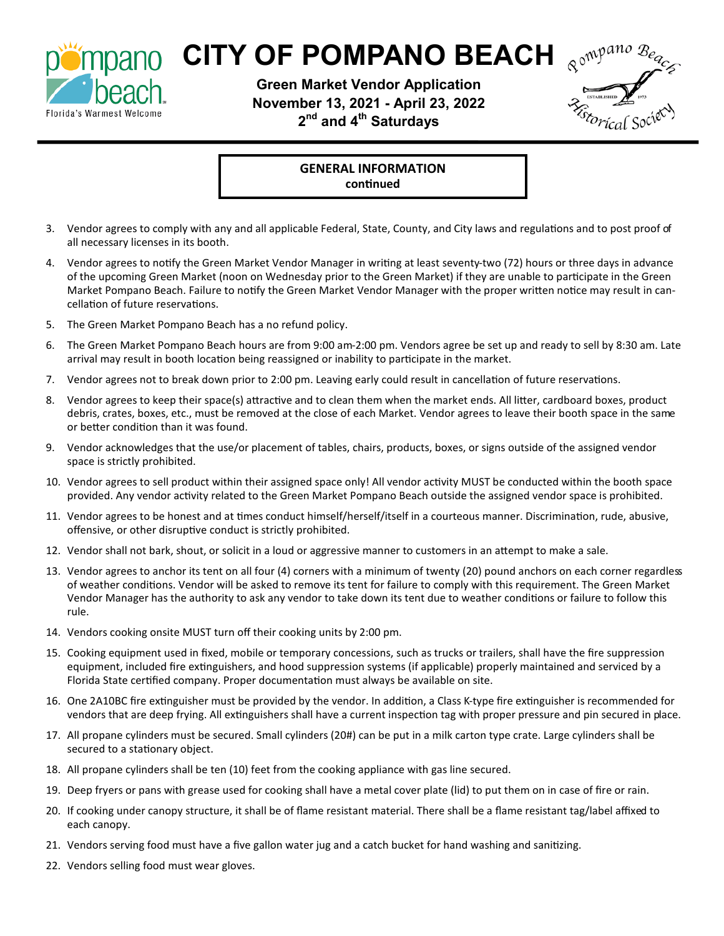

### **MDano CITY OF POMPANO BEACH Remageance**

**Green Market Vendor Application November 13, 2021 - April 23, 2022 2 nd and 4th Saturdays**



**GENERAL INFORMATION continued** 

- 3. Vendor agrees to comply with any and all applicable Federal, State, County, and City laws and regulations and to post proof of all necessary licenses in its booth.
- 4. Vendor agrees to notify the Green Market Vendor Manager in writing at least seventy-two (72) hours or three days in advance of the upcoming Green Market (noon on Wednesday prior to the Green Market) if they are unable to participate in the Green Market Pompano Beach. Failure to notify the Green Market Vendor Manager with the proper written notice may result in cancellation of future reservations.
- 5. The Green Market Pompano Beach has a no refund policy.
- 6. The Green Market Pompano Beach hours are from 9:00 am-2:00 pm. Vendors agree be set up and ready to sell by 8:30 am. Late arrival may result in booth location being reassigned or inability to participate in the market.
- 7. Vendor agrees not to break down prior to 2:00 pm. Leaving early could result in cancellation of future reservations.
- 8. Vendor agrees to keep their space(s) attractive and to clean them when the market ends. All litter, cardboard boxes, product debris, crates, boxes, etc., must be removed at the close of each Market. Vendor agrees to leave their booth space in the same or better condition than it was found.
- 9. Vendor acknowledges that the use/or placement of tables, chairs, products, boxes, or signs outside of the assigned vendor space is strictly prohibited.
- 10. Vendor agrees to sell product within their assigned space only! All vendor activity MUST be conducted within the booth space provided. Any vendor activity related to the Green Market Pompano Beach outside the assigned vendor space is prohibited.
- 11. Vendor agrees to be honest and at times conduct himself/herself/itself in a courteous manner. Discrimination, rude, abusive, offensive, or other disruptive conduct is strictly prohibited.
- 12. Vendor shall not bark, shout, or solicit in a loud or aggressive manner to customers in an attempt to make a sale.
- 13. Vendor agrees to anchor its tent on all four (4) corners with a minimum of twenty (20) pound anchors on each corner regardless of weather conditions. Vendor will be asked to remove its tent for failure to comply with this requirement. The Green Market Vendor Manager has the authority to ask any vendor to take down its tent due to weather conditions or failure to follow this rule.
- 14. Vendors cooking onsite MUST turn off their cooking units by 2:00 pm.
- 15. Cooking equipment used in fixed, mobile or temporary concessions, such as trucks or trailers, shall have the fire suppression equipment, included fire extinguishers, and hood suppression systems (if applicable) properly maintained and serviced by a Florida State certified company. Proper documentation must always be available on site.
- 16. One 2A10BC fire extinguisher must be provided by the vendor. In addition, a Class K-type fire extinguisher is recommended for vendors that are deep frying. All extinguishers shall have a current inspection tag with proper pressure and pin secured in place.
- 17. All propane cylinders must be secured. Small cylinders (20#) can be put in a milk carton type crate. Large cylinders shall be secured to a stationary object.
- 18. All propane cylinders shall be ten (10) feet from the cooking appliance with gas line secured.
- 19. Deep fryers or pans with grease used for cooking shall have a metal cover plate (lid) to put them on in case of fire or rain.
- 20. If cooking under canopy structure, it shall be of flame resistant material. There shall be a flame resistant tag/label affixed to each canopy.
- 21. Vendors serving food must have a five gallon water jug and a catch bucket for hand washing and sanitizing.
- 22. Vendors selling food must wear gloves.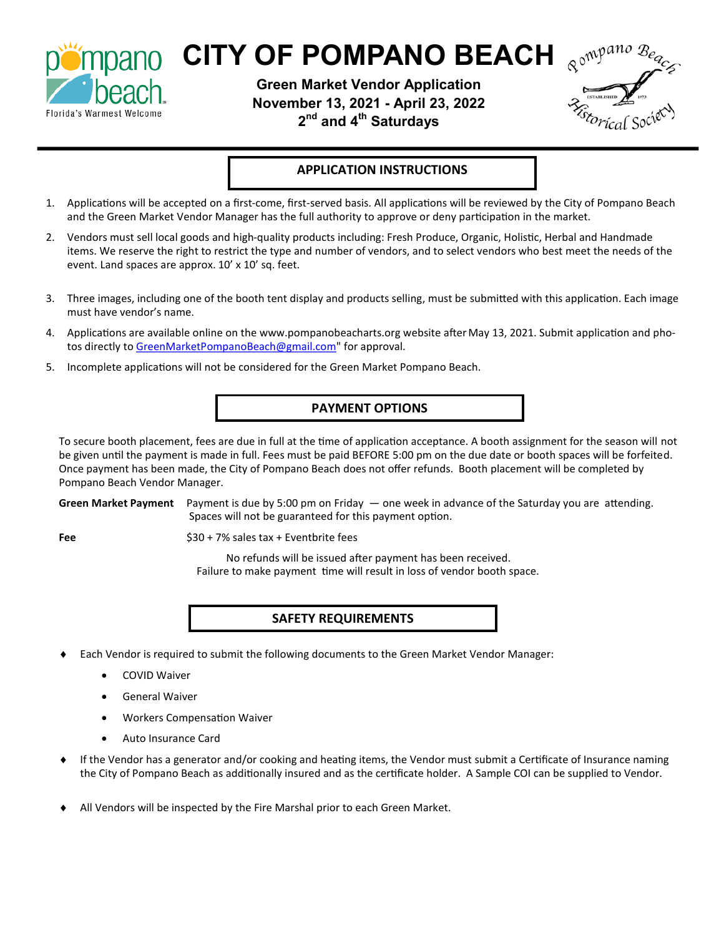

## **Mpano CITY OF POMPANO BEACH**

**Green Market Vendor Application November 13, 2021 - April 23, 2022 2 nd and 4th Saturdays**



#### **APPLICATION INSTRUCTIONS**

- 1. Applications will be accepted on a first-come, first-served basis. All applications will be reviewed by the City of Pompano Beach and the Green Market Vendor Manager has the full authority to approve or deny participation in the market.
- 2. Vendors must sell local goods and high-quality products including: Fresh Produce, Organic, Holistic, Herbal and Handmade items. We reserve the right to restrict the type and number of vendors, and to select vendors who best meet the needs of the event. Land spaces are approx. 10' x 10' sq. feet.
- 3. Three images, including one of the booth tent display and products selling, must be submitted with this application. Each image must have vendor's name.
- 4. Applications are available online on the www.pompanobeacharts.org website after May 13, 2021. Submit application and pho-tos directly to [GreenMarketPompanoBeach@gmail.com"](mailto:GreenMarketPompanoBeach@gmail.com) for approval.
- 5. Incomplete applications will not be considered for the Green Market Pompano Beach.

#### **PAYMENT OPTIONS**

To secure booth placement, fees are due in full at the time of application acceptance. A booth assignment for the season will not be given until the payment is made in full. Fees must be paid BEFORE 5:00 pm on the due date or booth spaces will be forfeited. Once payment has been made, the City of Pompano Beach does not offer refunds. Booth placement will be completed by Pompano Beach Vendor Manager.

**Green Market Payment** Payment is due by 5:00 pm on Friday — one week in advance of the Saturday you are attending. Spaces will not be guaranteed for this payment option.

**Fee** \$30 + 7% sales tax + Eventbrite fees

No refunds will be issued after payment has been received. Failure to make payment time will result in loss of vendor booth space.

#### **SAFETY REQUIREMENTS**

- Each Vendor is required to submit the following documents to the Green Market Vendor Manager:
	- COVID Waiver
	- General Waiver
	- Workers Compensation Waiver
	- Auto Insurance Card
- If the Vendor has a generator and/or cooking and heating items, the Vendor must submit a Certificate of Insurance naming the City of Pompano Beach as additionally insured and as the certificate holder. A Sample COI can be supplied to Vendor.
- All Vendors will be inspected by the Fire Marshal prior to each Green Market.